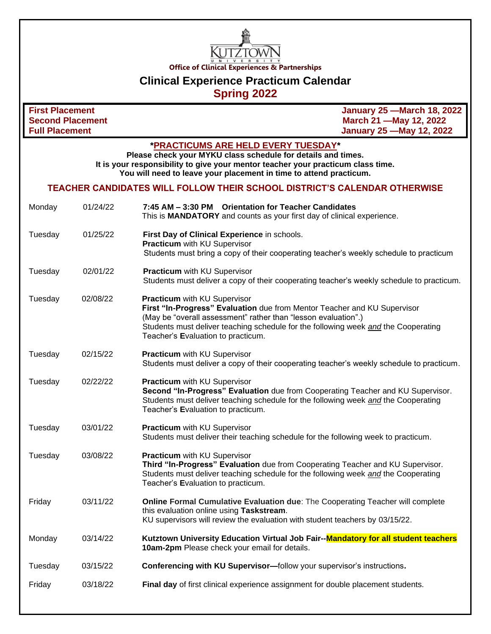

# **Clinical Experience Practicum Calendar**

## **Spring 2022**

| <b>First Placement</b><br><b>Second Placement</b>                                                                                                                                                                                                             |          |                                                                                                                                                                                                                                                                                                        | <b>January 25 - March 18, 2022</b><br>March 21 - May 12, 2022 |  |  |
|---------------------------------------------------------------------------------------------------------------------------------------------------------------------------------------------------------------------------------------------------------------|----------|--------------------------------------------------------------------------------------------------------------------------------------------------------------------------------------------------------------------------------------------------------------------------------------------------------|---------------------------------------------------------------|--|--|
| <b>Full Placement</b>                                                                                                                                                                                                                                         |          |                                                                                                                                                                                                                                                                                                        | <b>January 25 - May 12, 2022</b>                              |  |  |
| *PRACTICUMS ARE HELD EVERY TUESDAY*<br>Please check your MYKU class schedule for details and times.<br>It is your responsibility to give your mentor teacher your practicum class time.<br>You will need to leave your placement in time to attend practicum. |          |                                                                                                                                                                                                                                                                                                        |                                                               |  |  |
| TEACHER CANDIDATES WILL FOLLOW THEIR SCHOOL DISTRICT'S CALENDAR OTHERWISE                                                                                                                                                                                     |          |                                                                                                                                                                                                                                                                                                        |                                                               |  |  |
| Monday                                                                                                                                                                                                                                                        | 01/24/22 | 7:45 AM - 3:30 PM Orientation for Teacher Candidates<br>This is MANDATORY and counts as your first day of clinical experience.                                                                                                                                                                         |                                                               |  |  |
| Tuesday                                                                                                                                                                                                                                                       | 01/25/22 | First Day of Clinical Experience in schools.<br>Practicum with KU Supervisor<br>Students must bring a copy of their cooperating teacher's weekly schedule to practicum                                                                                                                                 |                                                               |  |  |
| Tuesday                                                                                                                                                                                                                                                       | 02/01/22 | Practicum with KU Supervisor<br>Students must deliver a copy of their cooperating teacher's weekly schedule to practicum.                                                                                                                                                                              |                                                               |  |  |
| Tuesday                                                                                                                                                                                                                                                       | 02/08/22 | Practicum with KU Supervisor<br>First "In-Progress" Evaluation due from Mentor Teacher and KU Supervisor<br>(May be "overall assessment" rather than "lesson evaluation".)<br>Students must deliver teaching schedule for the following week and the Cooperating<br>Teacher's Evaluation to practicum. |                                                               |  |  |
| Tuesday                                                                                                                                                                                                                                                       | 02/15/22 | Practicum with KU Supervisor<br>Students must deliver a copy of their cooperating teacher's weekly schedule to practicum.                                                                                                                                                                              |                                                               |  |  |
| Tuesday                                                                                                                                                                                                                                                       | 02/22/22 | Practicum with KU Supervisor<br>Second "In-Progress" Evaluation due from Cooperating Teacher and KU Supervisor.<br>Students must deliver teaching schedule for the following week and the Cooperating<br>Teacher's Evaluation to practicum.                                                            |                                                               |  |  |
| Tuesday                                                                                                                                                                                                                                                       | 03/01/22 | Practicum with KU Supervisor<br>Students must deliver their teaching schedule for the following week to practicum.                                                                                                                                                                                     |                                                               |  |  |
| Tuesday                                                                                                                                                                                                                                                       | 03/08/22 | Practicum with KU Supervisor<br>Third "In-Progress" Evaluation due from Cooperating Teacher and KU Supervisor.<br>Students must deliver teaching schedule for the following week and the Cooperating<br>Teacher's Evaluation to practicum.                                                             |                                                               |  |  |
| Friday                                                                                                                                                                                                                                                        | 03/11/22 | <b>Online Formal Cumulative Evaluation due: The Cooperating Teacher will complete</b><br>this evaluation online using Taskstream.<br>KU supervisors will review the evaluation with student teachers by 03/15/22.                                                                                      |                                                               |  |  |
| Monday                                                                                                                                                                                                                                                        | 03/14/22 | Kutztown University Education Virtual Job Fair--Mandatory for all student teachers<br>10am-2pm Please check your email for details.                                                                                                                                                                    |                                                               |  |  |
| Tuesday                                                                                                                                                                                                                                                       | 03/15/22 | Conferencing with KU Supervisor-follow your supervisor's instructions.                                                                                                                                                                                                                                 |                                                               |  |  |
| Friday                                                                                                                                                                                                                                                        | 03/18/22 | Final day of first clinical experience assignment for double placement students.                                                                                                                                                                                                                       |                                                               |  |  |